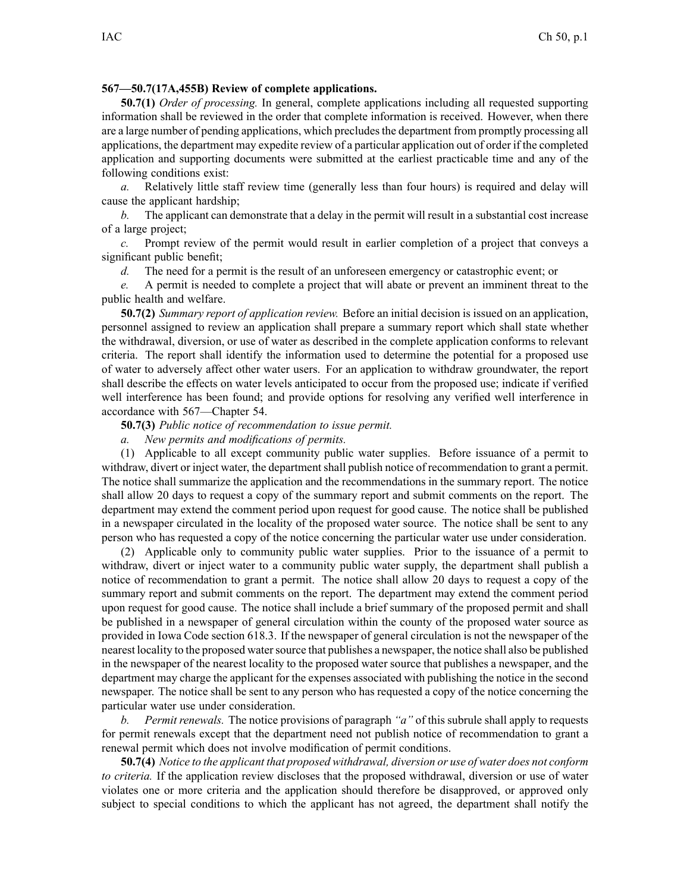## **567—50.7(17A,455B) Review of complete applications.**

**50.7(1)** *Order of processing.* In general, complete applications including all requested supporting information shall be reviewed in the order that complete information is received. However, when there are a large number of pending applications, which precludes the department from promptly processing all applications, the department may expedite review of <sup>a</sup> particular application out of order if the completed application and supporting documents were submitted at the earliest practicable time and any of the following conditions exist:

*a.* Relatively little staff review time (generally less than four hours) is required and delay will cause the applicant hardship;

*b.* The applicant can demonstrate that <sup>a</sup> delay in the permit will result in <sup>a</sup> substantial cost increase of <sup>a</sup> large project;

*c.* Prompt review of the permit would result in earlier completion of <sup>a</sup> project that conveys <sup>a</sup> significant public benefit;

*d.* The need for a permit is the result of an unforeseen emergency or catastrophic event; or

*e.* A permit is needed to complete <sup>a</sup> project that will abate or preven<sup>t</sup> an imminent threat to the public health and welfare.

**50.7(2)** *Summary repor<sup>t</sup> of application review.* Before an initial decision is issued on an application, personnel assigned to review an application shall prepare <sup>a</sup> summary repor<sup>t</sup> which shall state whether the withdrawal, diversion, or use of water as described in the complete application conforms to relevant criteria. The repor<sup>t</sup> shall identify the information used to determine the potential for <sup>a</sup> proposed use of water to adversely affect other water users. For an application to withdraw groundwater, the repor<sup>t</sup> shall describe the effects on water levels anticipated to occur from the proposed use; indicate if verified well interference has been found; and provide options for resolving any verified well interference in accordance with 567—Chapter 54.

**50.7(3)** *Public notice of recommendation to issue permit.*

*a. New permits and modifications of permits.*

(1) Applicable to all excep<sup>t</sup> community public water supplies. Before issuance of <sup>a</sup> permit to withdraw, divert or inject water, the department shall publish notice of recommendation to grant a permit. The notice shall summarize the application and the recommendations in the summary report. The notice shall allow 20 days to reques<sup>t</sup> <sup>a</sup> copy of the summary repor<sup>t</sup> and submit comments on the report. The department may extend the comment period upon reques<sup>t</sup> for good cause. The notice shall be published in <sup>a</sup> newspaper circulated in the locality of the proposed water source. The notice shall be sent to any person who has requested <sup>a</sup> copy of the notice concerning the particular water use under consideration.

(2) Applicable only to community public water supplies. Prior to the issuance of <sup>a</sup> permit to withdraw, divert or inject water to <sup>a</sup> community public water supply, the department shall publish <sup>a</sup> notice of recommendation to gran<sup>t</sup> <sup>a</sup> permit. The notice shall allow 20 days to reques<sup>t</sup> <sup>a</sup> copy of the summary repor<sup>t</sup> and submit comments on the report. The department may extend the comment period upon reques<sup>t</sup> for good cause. The notice shall include <sup>a</sup> brief summary of the proposed permit and shall be published in <sup>a</sup> newspaper of general circulation within the county of the proposed water source as provided in Iowa Code section 618.3. If the newspaper of general circulation is not the newspaper of the nearest locality to the proposed watersource that publishes <sup>a</sup> newspaper, the notice shall also be published in the newspaper of the nearest locality to the proposed water source that publishes <sup>a</sup> newspaper, and the department may charge the applicant for the expenses associated with publishing the notice in the second newspaper. The notice shall be sent to any person who has requested <sup>a</sup> copy of the notice concerning the particular water use under consideration.

*b. Permit renewals.* The notice provisions of paragraph *"a"* of this subrule shall apply to requests for permit renewals excep<sup>t</sup> that the department need not publish notice of recommendation to gran<sup>t</sup> <sup>a</sup> renewal permit which does not involve modification of permit conditions.

50.7(4) Notice to the applicant that proposed withdrawal, diversion or use of water does not conform *to criteria.* If the application review discloses that the proposed withdrawal, diversion or use of water violates one or more criteria and the application should therefore be disapproved, or approved only subject to special conditions to which the applicant has not agreed, the department shall notify the